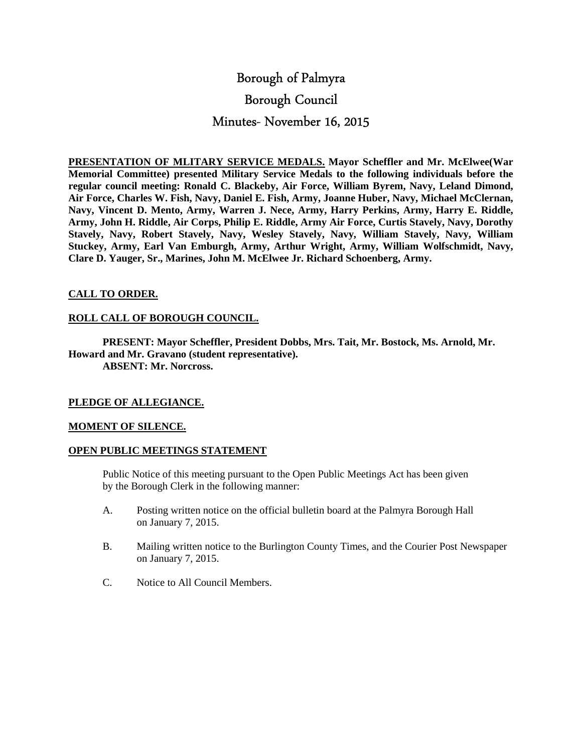# Borough of Palmyra Borough Council Minutes- November 16, 2015

**PRESENTATION OF MLITARY SERVICE MEDALS. Mayor Scheffler and Mr. McElwee(War Memorial Committee) presented Military Service Medals to the following individuals before the regular council meeting: Ronald C. Blackeby, Air Force, William Byrem, Navy, Leland Dimond, Air Force, Charles W. Fish, Navy, Daniel E. Fish, Army, Joanne Huber, Navy, Michael McClernan, Navy, Vincent D. Mento, Army, Warren J. Nece, Army, Harry Perkins, Army, Harry E. Riddle, Army, John H. Riddle, Air Corps, Philip E. Riddle, Army Air Force, Curtis Stavely, Navy, Dorothy Stavely, Navy, Robert Stavely, Navy, Wesley Stavely, Navy, William Stavely, Navy, William Stuckey, Army, Earl Van Emburgh, Army, Arthur Wright, Army, William Wolfschmidt, Navy, Clare D. Yauger, Sr., Marines, John M. McElwee Jr. Richard Schoenberg, Army.** 

# **CALL TO ORDER.**

# **ROLL CALL OF BOROUGH COUNCIL.**

 **PRESENT: Mayor Scheffler, President Dobbs, Mrs. Tait, Mr. Bostock, Ms. Arnold, Mr. Howard and Mr. Gravano (student representative). ABSENT: Mr. Norcross.** 

# **PLEDGE OF ALLEGIANCE.**

# **MOMENT OF SILENCE.**

# **OPEN PUBLIC MEETINGS STATEMENT**

 Public Notice of this meeting pursuant to the Open Public Meetings Act has been given by the Borough Clerk in the following manner:

- A. Posting written notice on the official bulletin board at the Palmyra Borough Hall on January 7, 2015.
- B. Mailing written notice to the Burlington County Times, and the Courier Post Newspaper on January 7, 2015.
- C. Notice to All Council Members.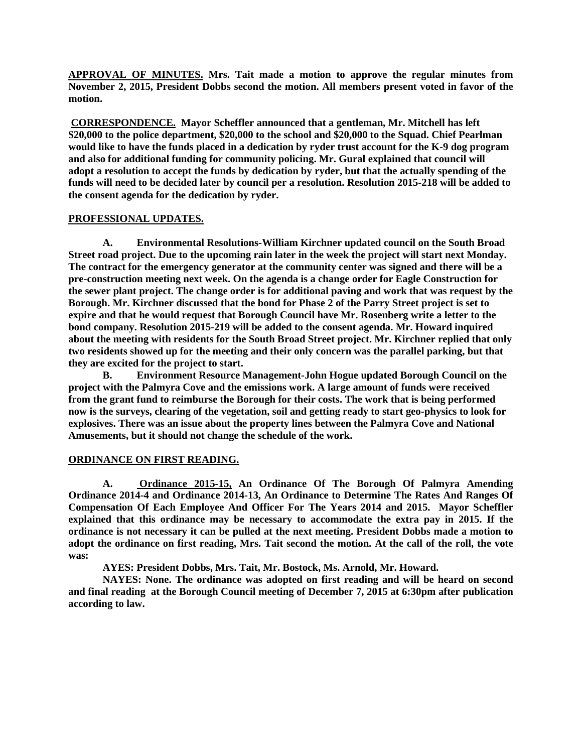**APPROVAL OF MINUTES. Mrs. Tait made a motion to approve the regular minutes from November 2, 2015, President Dobbs second the motion. All members present voted in favor of the motion.** 

 **CORRESPONDENCE. Mayor Scheffler announced that a gentleman, Mr. Mitchell has left \$20,000 to the police department, \$20,000 to the school and \$20,000 to the Squad. Chief Pearlman would like to have the funds placed in a dedication by ryder trust account for the K-9 dog program and also for additional funding for community policing. Mr. Gural explained that council will adopt a resolution to accept the funds by dedication by ryder, but that the actually spending of the funds will need to be decided later by council per a resolution. Resolution 2015-218 will be added to the consent agenda for the dedication by ryder.** 

## **PROFESSIONAL UPDATES.**

 **A. Environmental Resolutions-William Kirchner updated council on the South Broad Street road project. Due to the upcoming rain later in the week the project will start next Monday. The contract for the emergency generator at the community center was signed and there will be a pre-construction meeting next week. On the agenda is a change order for Eagle Construction for the sewer plant project. The change order is for additional paving and work that was request by the Borough. Mr. Kirchner discussed that the bond for Phase 2 of the Parry Street project is set to expire and that he would request that Borough Council have Mr. Rosenberg write a letter to the bond company. Resolution 2015-219 will be added to the consent agenda. Mr. Howard inquired about the meeting with residents for the South Broad Street project. Mr. Kirchner replied that only two residents showed up for the meeting and their only concern was the parallel parking, but that they are excited for the project to start.** 

 **B. Environment Resource Management-John Hogue updated Borough Council on the project with the Palmyra Cove and the emissions work. A large amount of funds were received from the grant fund to reimburse the Borough for their costs. The work that is being performed now is the surveys, clearing of the vegetation, soil and getting ready to start geo-physics to look for explosives. There was an issue about the property lines between the Palmyra Cove and National Amusements, but it should not change the schedule of the work.** 

# **ORDINANCE ON FIRST READING.**

 **A. Ordinance 2015-15, An Ordinance Of The Borough Of Palmyra Amending Ordinance 2014-4 and Ordinance 2014-13, An Ordinance to Determine The Rates And Ranges Of Compensation Of Each Employee And Officer For The Years 2014 and 2015. Mayor Scheffler explained that this ordinance may be necessary to accommodate the extra pay in 2015. If the ordinance is not necessary it can be pulled at the next meeting. President Dobbs made a motion to adopt the ordinance on first reading, Mrs. Tait second the motion. At the call of the roll, the vote was:** 

 **AYES: President Dobbs, Mrs. Tait, Mr. Bostock, Ms. Arnold, Mr. Howard.** 

 **NAYES: None. The ordinance was adopted on first reading and will be heard on second and final reading at the Borough Council meeting of December 7, 2015 at 6:30pm after publication according to law.**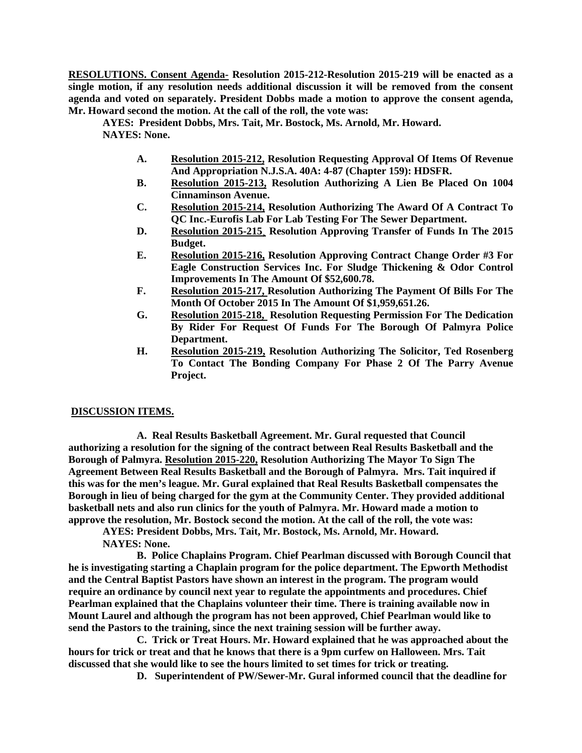**RESOLUTIONS. Consent Agenda- Resolution 2015-212-Resolution 2015-219 will be enacted as a single motion, if any resolution needs additional discussion it will be removed from the consent agenda and voted on separately. President Dobbs made a motion to approve the consent agenda, Mr. Howard second the motion. At the call of the roll, the vote was:** 

 **AYES: President Dobbs, Mrs. Tait, Mr. Bostock, Ms. Arnold, Mr. Howard. NAYES: None.** 

- **A. Resolution 2015-212, Resolution Requesting Approval Of Items Of Revenue And Appropriation N.J.S.A. 40A: 4-87 (Chapter 159): HDSFR.**
- **B. Resolution 2015-213, Resolution Authorizing A Lien Be Placed On 1004 Cinnaminson Avenue.**
- **C. Resolution 2015-214, Resolution Authorizing The Award Of A Contract To QC Inc.-Eurofis Lab For Lab Testing For The Sewer Department.**
- **D. Resolution 2015-215¸ Resolution Approving Transfer of Funds In The 2015 Budget.**
- **E. Resolution 2015-216, Resolution Approving Contract Change Order #3 For Eagle Construction Services Inc. For Sludge Thickening & Odor Control Improvements In The Amount Of \$52,600.78.**
- **F. Resolution 2015-217, Resolution Authorizing The Payment Of Bills For The Month Of October 2015 In The Amount Of \$1,959,651.26.**
- **G. Resolution 2015-218, Resolution Requesting Permission For The Dedication By Rider For Request Of Funds For The Borough Of Palmyra Police Department.**
- **H. Resolution 2015-219, Resolution Authorizing The Solicitor, Ted Rosenberg To Contact The Bonding Company For Phase 2 Of The Parry Avenue Project.**

# **DISCUSSION ITEMS.**

**A. Real Results Basketball Agreement. Mr. Gural requested that Council authorizing a resolution for the signing of the contract between Real Results Basketball and the Borough of Palmyra. Resolution 2015-220, Resolution Authorizing The Mayor To Sign The Agreement Between Real Results Basketball and the Borough of Palmyra. Mrs. Tait inquired if this was for the men's league. Mr. Gural explained that Real Results Basketball compensates the Borough in lieu of being charged for the gym at the Community Center. They provided additional basketball nets and also run clinics for the youth of Palmyra. Mr. Howard made a motion to approve the resolution, Mr. Bostock second the motion. At the call of the roll, the vote was:** 

 **AYES: President Dobbs, Mrs. Tait, Mr. Bostock, Ms. Arnold, Mr. Howard. NAYES: None.** 

**B. Police Chaplains Program. Chief Pearlman discussed with Borough Council that he is investigating starting a Chaplain program for the police department. The Epworth Methodist and the Central Baptist Pastors have shown an interest in the program. The program would require an ordinance by council next year to regulate the appointments and procedures. Chief Pearlman explained that the Chaplains volunteer their time. There is training available now in Mount Laurel and although the program has not been approved, Chief Pearlman would like to send the Pastors to the training, since the next training session will be further away.** 

**C. Trick or Treat Hours. Mr. Howard explained that he was approached about the hours for trick or treat and that he knows that there is a 9pm curfew on Halloween. Mrs. Tait discussed that she would like to see the hours limited to set times for trick or treating.** 

**D. Superintendent of PW/Sewer-Mr. Gural informed council that the deadline for**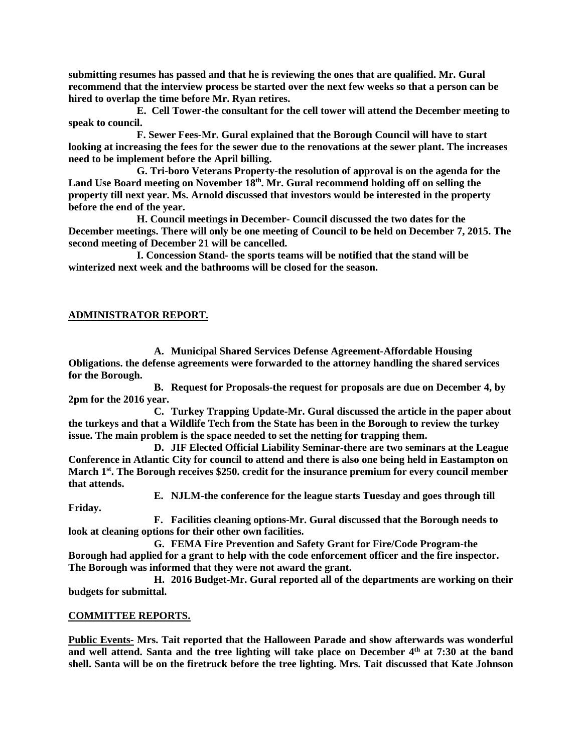**submitting resumes has passed and that he is reviewing the ones that are qualified. Mr. Gural recommend that the interview process be started over the next few weeks so that a person can be hired to overlap the time before Mr. Ryan retires.** 

**E. Cell Tower-the consultant for the cell tower will attend the December meeting to speak to council.** 

**F. Sewer Fees-Mr. Gural explained that the Borough Council will have to start looking at increasing the fees for the sewer due to the renovations at the sewer plant. The increases need to be implement before the April billing.** 

**G. Tri-boro Veterans Property-the resolution of approval is on the agenda for the Land Use Board meeting on November 18th. Mr. Gural recommend holding off on selling the property till next year. Ms. Arnold discussed that investors would be interested in the property before the end of the year.** 

 **H. Council meetings in December- Council discussed the two dates for the December meetings. There will only be one meeting of Council to be held on December 7, 2015. The second meeting of December 21 will be cancelled.** 

 **I. Concession Stand- the sports teams will be notified that the stand will be winterized next week and the bathrooms will be closed for the season.** 

### **ADMINISTRATOR REPORT.**

**A. Municipal Shared Services Defense Agreement-Affordable Housing Obligations. the defense agreements were forwarded to the attorney handling the shared services for the Borough.** 

**B. Request for Proposals-the request for proposals are due on December 4, by 2pm for the 2016 year.** 

**C. Turkey Trapping Update-Mr. Gural discussed the article in the paper about the turkeys and that a Wildlife Tech from the State has been in the Borough to review the turkey issue. The main problem is the space needed to set the netting for trapping them.** 

**D. JIF Elected Official Liability Seminar-there are two seminars at the League Conference in Atlantic City for council to attend and there is also one being held in Eastampton on March 1st. The Borough receives \$250. credit for the insurance premium for every council member that attends.** 

**E. NJLM-the conference for the league starts Tuesday and goes through till** 

**Friday.** 

**F. Facilities cleaning options-Mr. Gural discussed that the Borough needs to look at cleaning options for their other own facilities.** 

**G. FEMA Fire Prevention and Safety Grant for Fire/Code Program-the Borough had applied for a grant to help with the code enforcement officer and the fire inspector. The Borough was informed that they were not award the grant.** 

**H. 2016 Budget-Mr. Gural reported all of the departments are working on their budgets for submittal.** 

### **COMMITTEE REPORTS.**

**Public Events- Mrs. Tait reported that the Halloween Parade and show afterwards was wonderful and well attend. Santa and the tree lighting will take place on December 4th at 7:30 at the band shell. Santa will be on the firetruck before the tree lighting. Mrs. Tait discussed that Kate Johnson**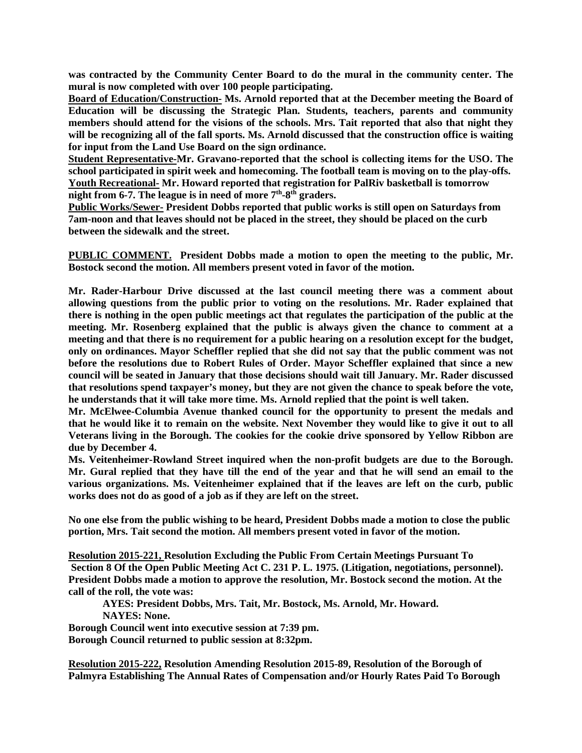**was contracted by the Community Center Board to do the mural in the community center. The mural is now completed with over 100 people participating.** 

**Board of Education/Construction- Ms. Arnold reported that at the December meeting the Board of Education will be discussing the Strategic Plan. Students, teachers, parents and community members should attend for the visions of the schools. Mrs. Tait reported that also that night they will be recognizing all of the fall sports. Ms. Arnold discussed that the construction office is waiting for input from the Land Use Board on the sign ordinance.** 

**Student Representative-Mr. Gravano-reported that the school is collecting items for the USO. The school participated in spirit week and homecoming. The football team is moving on to the play-offs. Youth Recreational- Mr. Howard reported that registration for PalRiv basketball is tomorrow night from 6-7. The league is in need of more 7th-8th graders.** 

**Public Works/Sewer- President Dobbs reported that public works is still open on Saturdays from 7am-noon and that leaves should not be placed in the street, they should be placed on the curb between the sidewalk and the street.** 

**PUBLIC COMMENT. President Dobbs made a motion to open the meeting to the public, Mr. Bostock second the motion. All members present voted in favor of the motion.** 

**Mr. Rader-Harbour Drive discussed at the last council meeting there was a comment about allowing questions from the public prior to voting on the resolutions. Mr. Rader explained that there is nothing in the open public meetings act that regulates the participation of the public at the meeting. Mr. Rosenberg explained that the public is always given the chance to comment at a meeting and that there is no requirement for a public hearing on a resolution except for the budget, only on ordinances. Mayor Scheffler replied that she did not say that the public comment was not before the resolutions due to Robert Rules of Order. Mayor Scheffler explained that since a new council will be seated in January that those decisions should wait till January. Mr. Rader discussed that resolutions spend taxpayer's money, but they are not given the chance to speak before the vote, he understands that it will take more time. Ms. Arnold replied that the point is well taken.** 

**Mr. McElwee-Columbia Avenue thanked council for the opportunity to present the medals and that he would like it to remain on the website. Next November they would like to give it out to all Veterans living in the Borough. The cookies for the cookie drive sponsored by Yellow Ribbon are due by December 4.** 

**Ms. Veitenheimer-Rowland Street inquired when the non-profit budgets are due to the Borough. Mr. Gural replied that they have till the end of the year and that he will send an email to the various organizations. Ms. Veitenheimer explained that if the leaves are left on the curb, public works does not do as good of a job as if they are left on the street.** 

**No one else from the public wishing to be heard, President Dobbs made a motion to close the public portion, Mrs. Tait second the motion. All members present voted in favor of the motion.** 

**Resolution 2015-221, Resolution Excluding the Public From Certain Meetings Pursuant To Section 8 Of the Open Public Meeting Act C. 231 P. L. 1975. (Litigation, negotiations, personnel). President Dobbs made a motion to approve the resolution, Mr. Bostock second the motion. At the call of the roll, the vote was:** 

 **AYES: President Dobbs, Mrs. Tait, Mr. Bostock, Ms. Arnold, Mr. Howard. NAYES: None.** 

**Borough Council went into executive session at 7:39 pm. Borough Council returned to public session at 8:32pm.** 

**Resolution 2015-222, Resolution Amending Resolution 2015-89, Resolution of the Borough of Palmyra Establishing The Annual Rates of Compensation and/or Hourly Rates Paid To Borough**